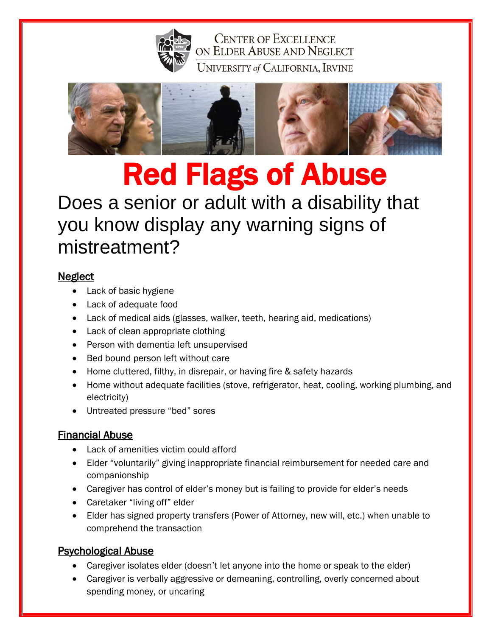

**CENTER OF EXCELLENCE** ON ELDER ABUSE AND NEGLECT UNIVERSITY of CALIFORNIA, IRVINE



# Red Flags of Abuse

# Does a senior or adult with a disability that you know display any warning signs of mistreatment?

#### **Neglect**

- Lack of basic hygiene
- Lack of adequate food
- Lack of medical aids (glasses, walker, teeth, hearing aid, medications)
- Lack of clean appropriate clothing
- Person with dementia left unsupervised
- Bed bound person left without care
- Home cluttered, filthy, in disrepair, or having fire & safety hazards
- Home without adequate facilities (stove, refrigerator, heat, cooling, working plumbing, and electricity)
- Untreated pressure "bed" sores

## Financial Abuse

- Lack of amenities victim could afford
- Elder "voluntarily" giving inappropriate financial reimbursement for needed care and companionship
- Caregiver has control of elder's money but is failing to provide for elder's needs
- Caretaker "living off" elder
- Elder has signed property transfers (Power of Attorney, new will, etc.) when unable to comprehend the transaction

## Psychological Abuse

- Caregiver isolates elder (doesn't let anyone into the home or speak to the elder)
- Caregiver is verbally aggressive or demeaning, controlling, overly concerned about spending money, or uncaring